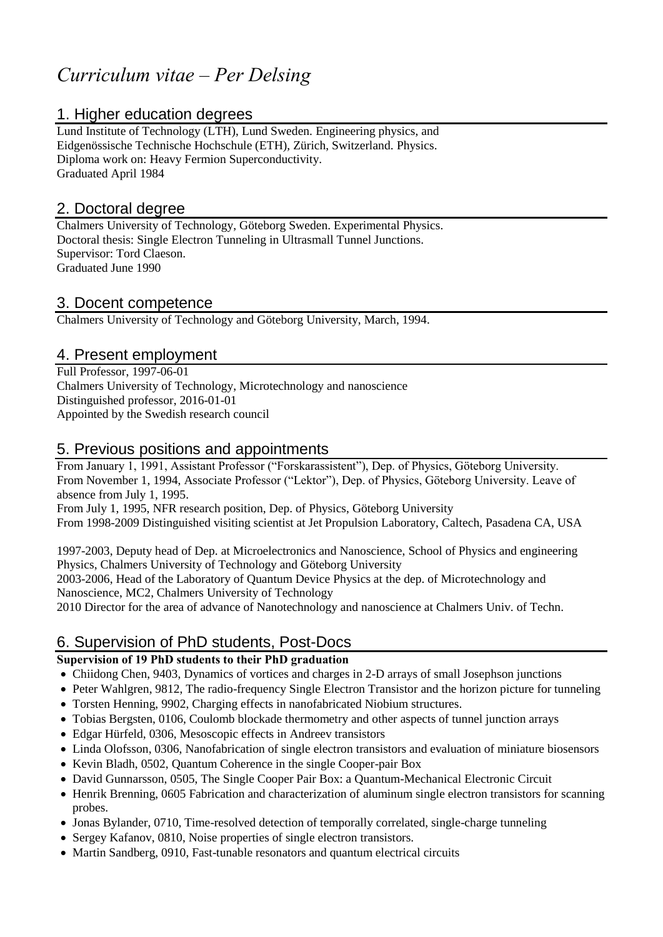# *Curriculum vitae – Per Delsing*

# 1. Higher education degrees

Lund Institute of Technology (LTH), Lund Sweden. Engineering physics, and Eidgenössische Technische Hochschule (ETH), Zürich, Switzerland. Physics. Diploma work on: Heavy Fermion Superconductivity. Graduated April 1984

# 2. Doctoral degree

Chalmers University of Technology, Göteborg Sweden. Experimental Physics. Doctoral thesis: Single Electron Tunneling in Ultrasmall Tunnel Junctions. Supervisor: Tord Claeson. Graduated June 1990

## 3. Docent competence

Chalmers University of Technology and Göteborg University, March, 1994.

# 4. Present employment

Full Professor, 1997-06-01 Chalmers University of Technology, Microtechnology and nanoscience Distinguished professor, 2016-01-01 Appointed by the Swedish research council

## 5. Previous positions and appointments

From January 1, 1991, Assistant Professor ("Forskarassistent"), Dep. of Physics, Göteborg University. From November 1, 1994, Associate Professor ("Lektor"), Dep. of Physics, Göteborg University. Leave of absence from July 1, 1995.

From July 1, 1995, NFR research position, Dep. of Physics, Göteborg University From 1998-2009 Distinguished visiting scientist at Jet Propulsion Laboratory, Caltech, Pasadena CA, USA

1997-2003, Deputy head of Dep. at Microelectronics and Nanoscience, School of Physics and engineering Physics, Chalmers University of Technology and Göteborg University

2003-2006, Head of the Laboratory of Quantum Device Physics at the dep. of Microtechnology and Nanoscience, MC2, Chalmers University of Technology

2010 Director for the area of advance of Nanotechnology and nanoscience at Chalmers Univ. of Techn.

# 6. Supervision of PhD students, Post-Docs

### **Supervision of 19 PhD students to their PhD graduation**

- Chiidong Chen, 9403, Dynamics of vortices and charges in 2-D arrays of small Josephson junctions
- Peter Wahlgren, 9812, The radio-frequency Single Electron Transistor and the horizon picture for tunneling
- Torsten Henning, 9902, Charging effects in nanofabricated Niobium structures.
- Tobias Bergsten, 0106, Coulomb blockade thermometry and other aspects of tunnel junction arrays
- Edgar Hürfeld, 0306, Mesoscopic effects in Andreev transistors
- Linda Olofsson, 0306, Nanofabrication of single electron transistors and evaluation of miniature biosensors
- Kevin Bladh, 0502, Quantum Coherence in the single Cooper-pair Box
- David Gunnarsson, 0505, The Single Cooper Pair Box: a Quantum-Mechanical Electronic Circuit
- Henrik Brenning, 0605 Fabrication and characterization of aluminum single electron transistors for scanning probes.
- Jonas Bylander, 0710, Time-resolved detection of temporally correlated, single-charge tunneling
- Sergey Kafanov, 0810, Noise properties of single electron transistors.
- Martin Sandberg, 0910, Fast-tunable resonators and quantum electrical circuits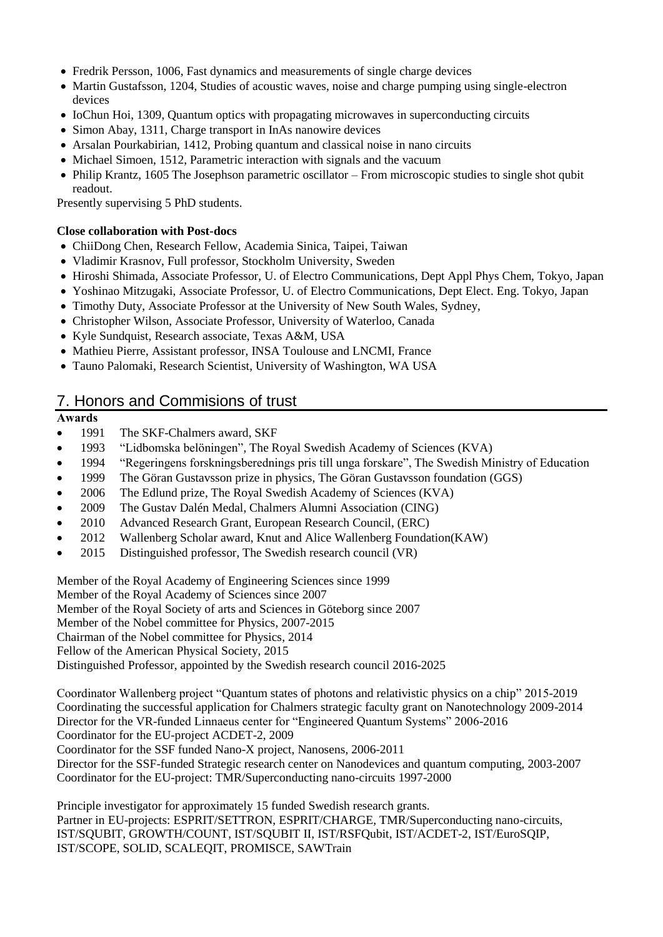- Fredrik Persson, 1006, Fast dynamics and measurements of single charge devices
- Martin Gustafsson, 1204, Studies of acoustic waves, noise and charge pumping using single-electron devices
- IoChun Hoi, 1309, Quantum optics with propagating microwaves in superconducting circuits
- Simon Abay, 1311, Charge transport in InAs nanowire devices
- Arsalan Pourkabirian, 1412, Probing quantum and classical noise in nano circuits
- Michael Simoen, 1512, Parametric interaction with signals and the vacuum
- Philip Krantz, 1605 The Josephson parametric oscillator From microscopic studies to single shot qubit readout.

Presently supervising 5 PhD students.

#### **Close collaboration with Post-docs**

- ChiiDong Chen, Research Fellow, Academia Sinica, Taipei, Taiwan
- Vladimir Krasnov, Full professor, Stockholm University, Sweden
- Hiroshi Shimada, Associate Professor, U. of Electro Communications, Dept Appl Phys Chem, Tokyo, Japan
- Yoshinao Mitzugaki, Associate Professor, U. of Electro Communications, Dept Elect. Eng. Tokyo, Japan
- Timothy Duty, Associate Professor at the University of New South Wales, Sydney,
- Christopher Wilson, Associate Professor, University of Waterloo, Canada
- Kyle Sundquist, Research associate, Texas A&M, USA
- Mathieu Pierre, Assistant professor, INSA Toulouse and LNCMI, France
- Tauno Palomaki, Research Scientist, University of Washington, WA USA

# 7. Honors and Commisions of trust

#### **Awards**

- 1991 The SKF-Chalmers award, SKF
- 1993 "Lidbomska belöningen", The Royal Swedish Academy of Sciences (KVA)
- 1994 "Regeringens forskningsberednings pris till unga forskare", The Swedish Ministry of Education
- 1999 The Göran Gustavsson prize in physics, The Göran Gustavsson foundation (GGS)
- 2006 The Edlund prize, The Royal Swedish Academy of Sciences (KVA)
- 2009 The Gustav Dalén Medal, Chalmers Alumni Association (CING)
- 2010 Advanced Research Grant, European Research Council, (ERC)
- 2012 Wallenberg Scholar award, Knut and Alice Wallenberg Foundation(KAW)
- 2015 Distinguished professor, The Swedish research council (VR)

Member of the Royal Academy of Engineering Sciences since 1999

Member of the Royal Academy of Sciences since 2007

Member of the Royal Society of arts and Sciences in Göteborg since 2007

Member of the Nobel committee for Physics, 2007-2015

Chairman of the Nobel committee for Physics, 2014

Fellow of the American Physical Society, 2015

Distinguished Professor, appointed by the Swedish research council 2016-2025

Coordinator Wallenberg project "Quantum states of photons and relativistic physics on a chip" 2015-2019 Coordinating the successful application for Chalmers strategic faculty grant on Nanotechnology 2009-2014 Director for the VR-funded Linnaeus center for "Engineered Quantum Systems" 2006-2016

Coordinator for the EU-project ACDET-2, 2009 Coordinator for the SSF funded Nano-X project, Nanosens, 2006-2011

Director for the SSF-funded Strategic research center on Nanodevices and quantum computing, 2003-2007 Coordinator for the EU-project: TMR/Superconducting nano-circuits 1997-2000

Principle investigator for approximately 15 funded Swedish research grants. Partner in EU-projects: ESPRIT/SETTRON, ESPRIT/CHARGE, TMR/Superconducting nano-circuits, IST/SQUBIT, GROWTH/COUNT, IST/SQUBIT II, IST/RSFQubit, IST/ACDET-2, IST/EuroSQIP, IST/SCOPE, SOLID, SCALEQIT, PROMISCE, SAWTrain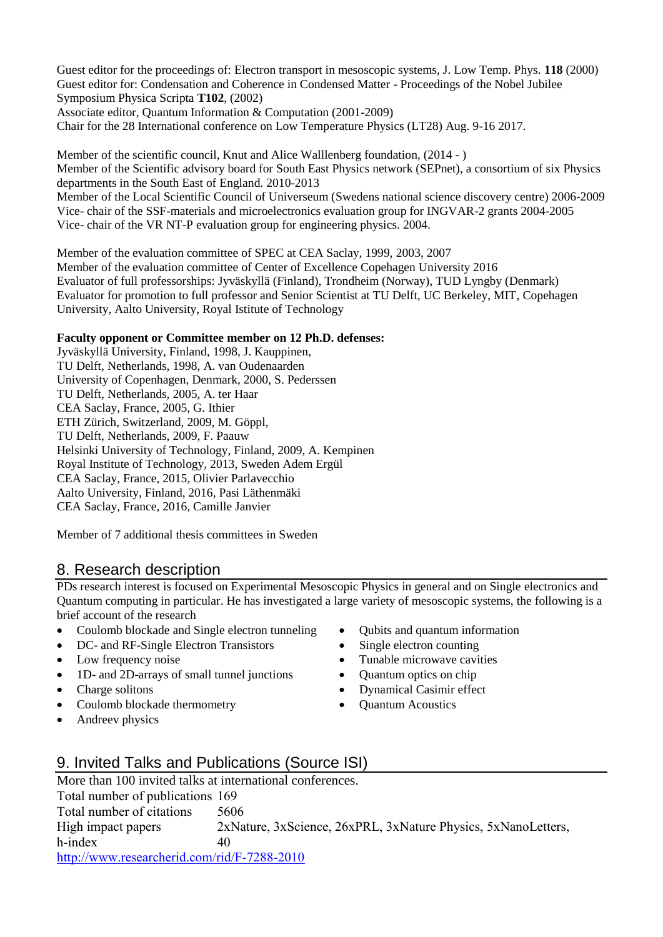Guest editor for the proceedings of: Electron transport in mesoscopic systems, J. Low Temp. Phys. **118** (2000) Guest editor for: Condensation and Coherence in Condensed Matter - Proceedings of the Nobel Jubilee Symposium Physica Scripta **T102**, (2002)

Associate editor, Quantum Information & Computation (2001-2009)

Chair for the 28 International conference on Low Temperature Physics (LT28) Aug. 9-16 2017.

Member of the scientific council, Knut and Alice Walllenberg foundation, (2014 - ) Member of the Scientific advisory board for South East Physics network (SEPnet), a consortium of six Physics departments in the South East of England. 2010-2013 Member of the Local Scientific Council of Universeum (Swedens national science discovery centre) 2006-2009 Vice- chair of the SSF-materials and microelectronics evaluation group for INGVAR-2 grants 2004-2005

Vice- chair of the VR NT-P evaluation group for engineering physics. 2004.

Member of the evaluation committee of SPEC at CEA Saclay, 1999, 2003, 2007 Member of the evaluation committee of Center of Excellence Copehagen University 2016 Evaluator of full professorships: Jyväskyllä (Finland), Trondheim (Norway), TUD Lyngby (Denmark) Evaluator for promotion to full professor and Senior Scientist at TU Delft, UC Berkeley, MIT, Copehagen University, Aalto University, Royal Istitute of Technology

#### **Faculty opponent or Committee member on 12 Ph.D. defenses:**

Jyväskyllä University, Finland, 1998, J. Kauppinen, TU Delft, Netherlands, 1998, A. van Oudenaarden University of Copenhagen, Denmark, 2000, S. Pederssen TU Delft, Netherlands, 2005, A. ter Haar CEA Saclay, France, 2005, G. Ithier ETH Zürich, Switzerland, 2009, M. Göppl, TU Delft, Netherlands, 2009, F. Paauw Helsinki University of Technology, Finland, 2009, A. Kempinen Royal Institute of Technology, 2013, Sweden Adem Ergül CEA Saclay, France, 2015, Olivier Parlavecchio Aalto University, Finland, 2016, Pasi Läthenmäki CEA Saclay, France, 2016, Camille Janvier

Member of 7 additional thesis committees in Sweden

## 8. Research description

PDs research interest is focused on Experimental Mesoscopic Physics in general and on Single electronics and Quantum computing in particular. He has investigated a large variety of mesoscopic systems, the following is a brief account of the research

- Coulomb blockade and Single electron tunneling
- DC- and RF-Single Electron Transistors
- Low frequency noise
- 1D- and 2D-arrays of small tunnel junctions
- Charge solitons
- Coulomb blockade thermometry
- Andreev physics
- Oubits and quantum information
- Single electron counting
- Tunable microwave cavities
- Quantum optics on chip
- Dynamical Casimir effect
- Quantum Acoustics

# 9. Invited Talks and Publications (Source ISI)

More than 100 invited talks at international conferences. Total number of publications 169 Total number of citations 5606 High impact papers 2xNature, 3xScience, 26xPRL, 3xNature Physics, 5xNanoLetters, h-index 40 <http://www.researcherid.com/rid/F-7288-2010>